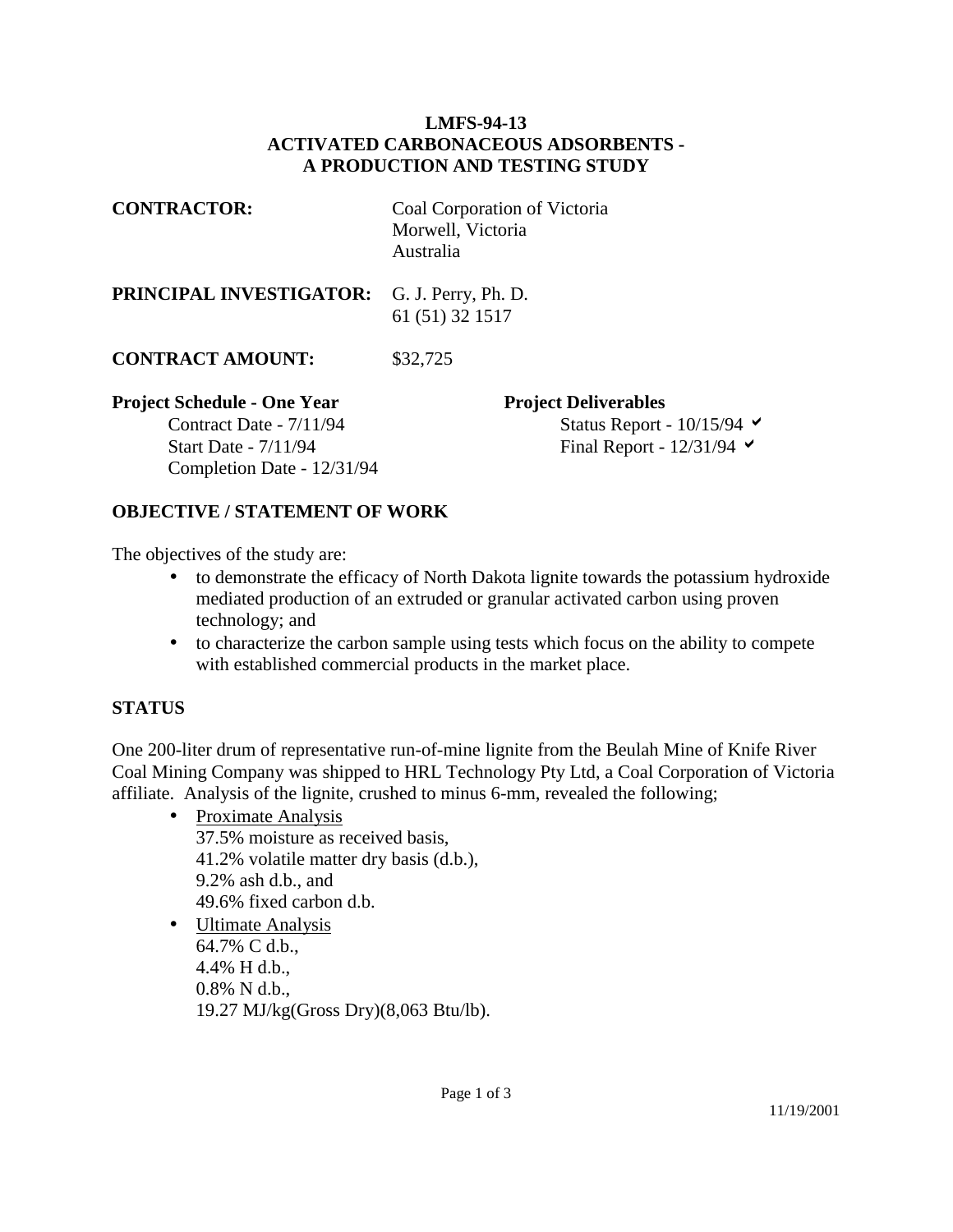## **LMFS-94-13 ACTIVATED CARBONACEOUS ADSORBENTS - A PRODUCTION AND TESTING STUDY**

| <b>CONTRACTOR:</b>                                                                                                         | Coal Corporation of Victoria<br>Morwell, Victoria<br>Australia                                               |
|----------------------------------------------------------------------------------------------------------------------------|--------------------------------------------------------------------------------------------------------------|
| PRINCIPAL INVESTIGATOR:                                                                                                    | G. J. Perry, Ph. D.<br>61 (51) 32 1517                                                                       |
| <b>CONTRACT AMOUNT:</b>                                                                                                    | \$32,725                                                                                                     |
| <b>Project Schedule - One Year</b><br>Contract Date - 7/11/94<br><b>Start Date - 7/11/94</b><br>Completion Date - 12/31/94 | <b>Project Deliverables</b><br>Status Report - $10/15/94$ $\blacktriangleright$<br>Final Report - $12/31/94$ |

## **OBJECTIVE / STATEMENT OF WORK**

The objectives of the study are:

- to demonstrate the efficacy of North Dakota lignite towards the potassium hydroxide mediated production of an extruded or granular activated carbon using proven technology; and
- to characterize the carbon sample using tests which focus on the ability to compete with established commercial products in the market place.

## **STATUS**

One 200-liter drum of representative run-of-mine lignite from the Beulah Mine of Knife River Coal Mining Company was shipped to HRL Technology Pty Ltd, a Coal Corporation of Victoria affiliate. Analysis of the lignite, crushed to minus 6-mm, revealed the following;

• Proximate Analysis

 37.5% moisture as received basis, 41.2% volatile matter dry basis (d.b.), 9.2% ash d.b., and 49.6% fixed carbon d.b.

• Ultimate Analysis 64.7% C d.b., 4.4% H d.b., 0.8% N d.b., 19.27 MJ/kg(Gross Dry)(8,063 Btu/lb).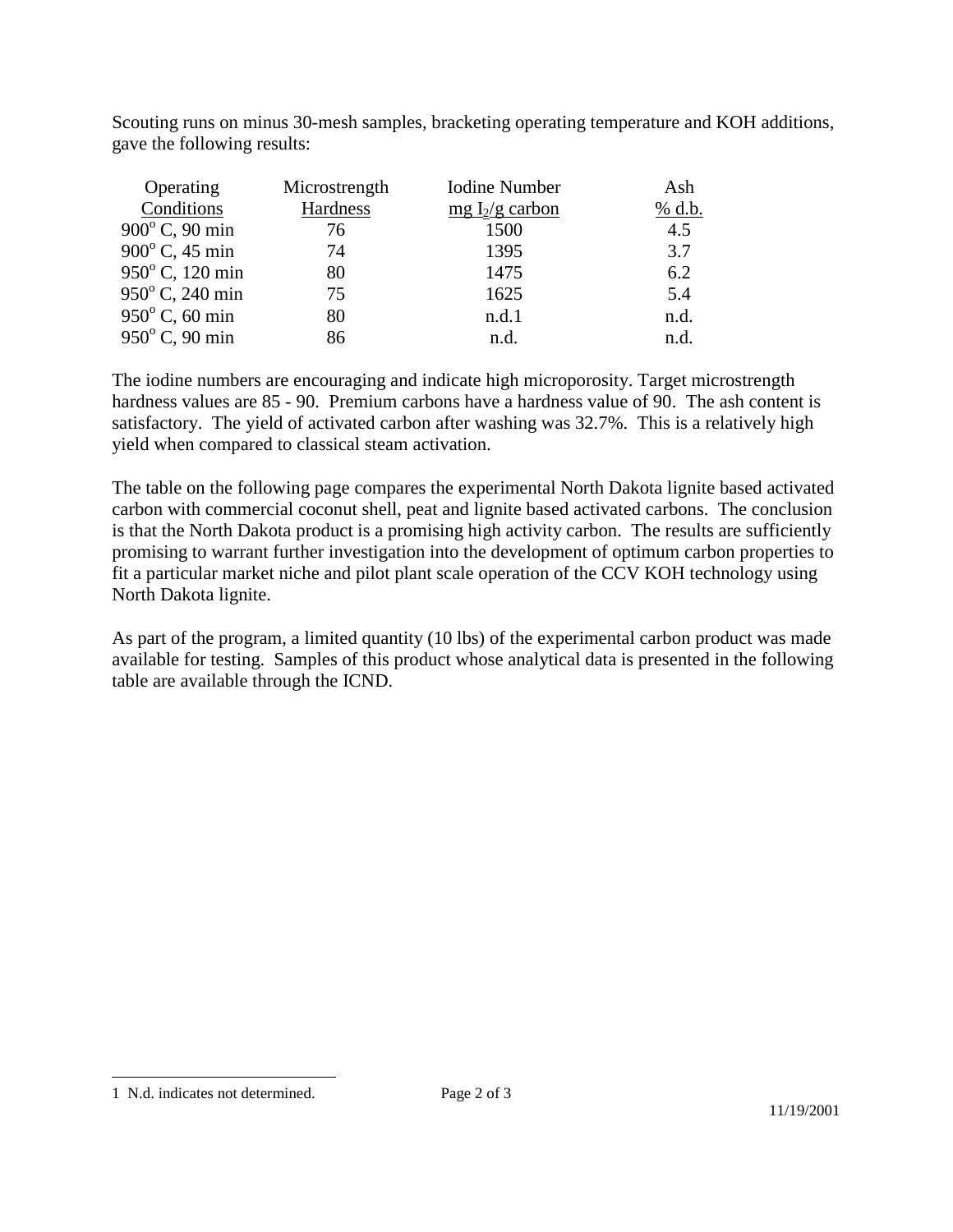Scouting runs on minus 30-mesh samples, bracketing operating temperature and KOH additions, gave the following results:

| Operating               | Microstrength | Iodine Number     | Ash    |
|-------------------------|---------------|-------------------|--------|
| Conditions              | Hardness      | mg $I_2/g$ carbon | % d.b. |
| 900°C, 90 min           | 76            | 1500              | 4.5    |
| $900^{\circ}$ C, 45 min | 74            | 1395              | 3.7    |
| 950°C, 120 min          | 80            | 1475              | 6.2    |
| 950°C, 240 min          | 75            | 1625              | 5.4    |
| $950^{\circ}$ C, 60 min | 80            | n.d.1             | n.d.   |
| 950°C, 90 min           | 86            | n.d.              | n.d.   |

The iodine numbers are encouraging and indicate high microporosity. Target microstrength hardness values are 85 - 90. Premium carbons have a hardness value of 90. The ash content is satisfactory. The yield of activated carbon after washing was 32.7%. This is a relatively high yield when compared to classical steam activation.

The table on the following page compares the experimental North Dakota lignite based activated carbon with commercial coconut shell, peat and lignite based activated carbons. The conclusion is that the North Dakota product is a promising high activity carbon. The results are sufficiently promising to warrant further investigation into the development of optimum carbon properties to fit a particular market niche and pilot plant scale operation of the CCV KOH technology using North Dakota lignite.

As part of the program, a limited quantity (10 lbs) of the experimental carbon product was made available for testing. Samples of this product whose analytical data is presented in the following table are available through the ICND.

 $\overline{a}$ 

<sup>1</sup> N.d. indicates not determined.